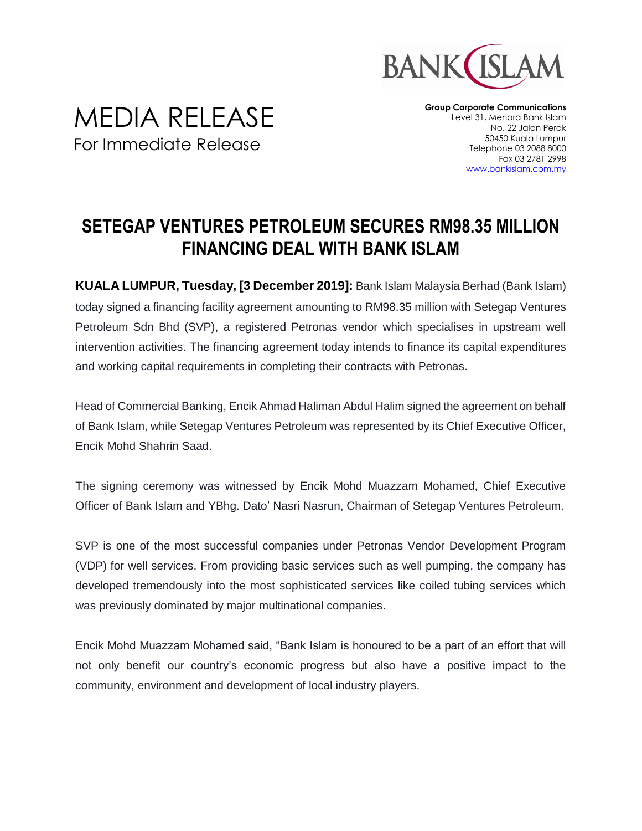

**Group Corporate Communications** Level 31, Menara Bank Islam No. 22 Jalan Perak 50450 Kuala Lumpur Telephone 03 2088 8000 Fax 03 2781 2998 [www.bankislam.com.my](http://www.bankislam.com.my/)

## **SETEGAP VENTURES PETROLEUM SECURES RM98.35 MILLION FINANCING DEAL WITH BANK ISLAM**

**KUALA LUMPUR, Tuesday, [3 December 2019]:** Bank Islam Malaysia Berhad (Bank Islam) today signed a financing facility agreement amounting to RM98.35 million with Setegap Ventures Petroleum Sdn Bhd (SVP), a registered Petronas vendor which specialises in upstream well intervention activities. The financing agreement today intends to finance its capital expenditures and working capital requirements in completing their contracts with Petronas.

Head of Commercial Banking, Encik Ahmad Haliman Abdul Halim signed the agreement on behalf of Bank Islam, while Setegap Ventures Petroleum was represented by its Chief Executive Officer, Encik Mohd Shahrin Saad.

The signing ceremony was witnessed by Encik Mohd Muazzam Mohamed, Chief Executive Officer of Bank Islam and YBhg. Dato' Nasri Nasrun, Chairman of Setegap Ventures Petroleum.

SVP is one of the most successful companies under Petronas Vendor Development Program (VDP) for well services. From providing basic services such as well pumping, the company has developed tremendously into the most sophisticated services like coiled tubing services which was previously dominated by major multinational companies.

Encik Mohd Muazzam Mohamed said, "Bank Islam is honoured to be a part of an effort that will not only benefit our country's economic progress but also have a positive impact to the community, environment and development of local industry players.